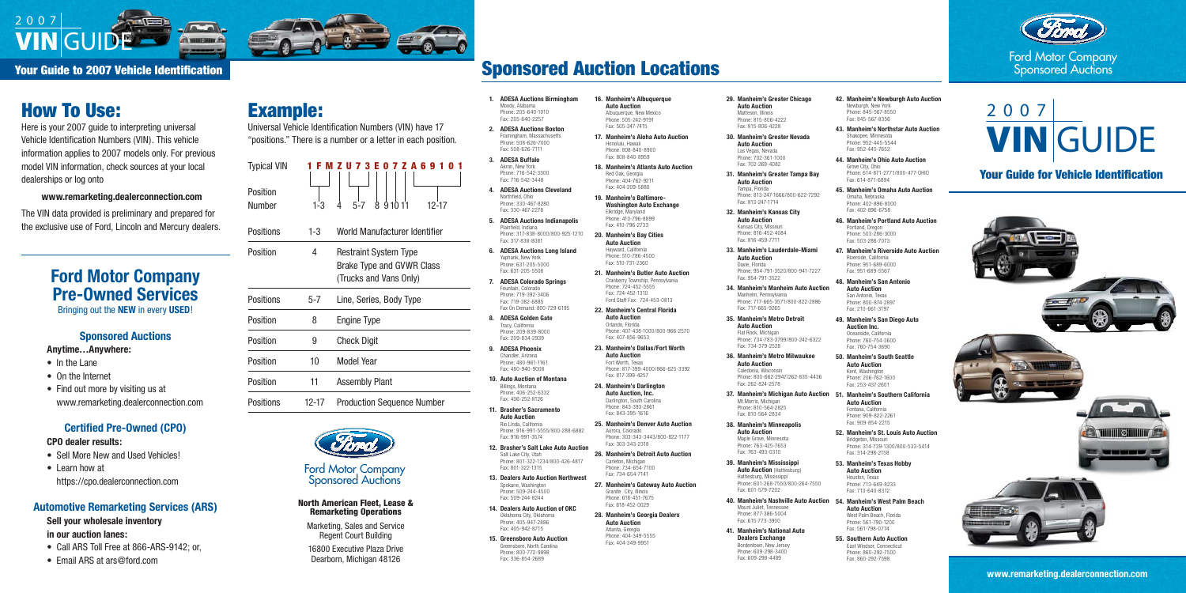#### Your Guide to 2007 Vehicle Identification

Ford Motor Company Sponsored Auctions

# VIN GUIDE 2 0 0 7

### Your Guide for Vehicle Identification



**www.remarketing.dealerconnection.com**

## How To Use:

Here is your 2007 guide to interpreting universal Vehicle Identification Numbers (VIN). This vehicle information applies to 2007 models only. For previous model VIN information, check sources at your local dealerships or log onto

**www.remarketing.dealerconnection.com**

The VIN data provided is preliminary and prepared for the exclusive use of Ford, Lincoln and Mercury dealers. Moody, Alabama

Fax: 205-640-2257

Fax: 508-626-7111 **3. ADESA Buffalo** Akron, New York Phone: 716-542-3300 Fax: 716-542-3448

Northfield, Ohio

Fax: 330-467-2278

Plainfield, Indiana

Fax: 317-838-8081

Yaphank, New York

Fax: 631-205-5508

Fountain, Colorado

Fax: 719-382-6885

Tracy, California

Fax: 209-834-2939 **9. ADESA Phoenix** Chandler, Arizona Phone: 480-961-1161 Fax: 480-940-9008

Billings, Montana

Fax: 406-252-8126

**Auto Auction** Rio Linda, California

Fax: 916-991-3574

Salt Lake City, Utah

Fax: 801-322-1315

Spokane, Washington Phone: 509-244-4500 Fax: 509-244-8244 **14. Dealers Auto Auction of OKC** Oklahoma City, Oklahoma Phone: 405-947-2886 Fax: 405-942-8715 **15. Greensboro Auto Auction** Greensboro, North Carolina Phone: 800-772-9898 Fax: 336-854-2689

- **1. ADESA Auctions Birmingham** Phone: 205-640-1010 **2. ADESA Auctions Boston** Framingham, Massachusetts Phone: 508-626-7000 **4. ADESA Auctions Cleveland** Phone: 330-467-8280 **5. ADESA Auctions Indianapolis** Phone: 317-838-8000/800-925-1210 **6. ADESA Auctions Long Island** Phone: 631-205-5000 **7. ADESA Colorado Springs** Phone: 719-392-3406 Fax On Demand: 800-729-6195 **8. ADESA Golden Gate** Phone: 209-839-8000 **10. Auto Auction of Montana** Phone: 406-252-6332 **11. Brasher's Sacramento** Phone: 916-991-5555/800-288-6882 **12. Brasher's Salt Lake Auto Auction 16. Manheim's Albuquerque Auto Auction** Albuquerque, New Mexico Phone: 505-242-9191 Fax: 505-247-7415 **17. Manheim's Aloha Auto Auction** Honolulu, Hawaii Phone: 808-840-8900 Fax: 808-840-8959 **18. Manheim's Atlanta Auto Auction** Red Oak, Georgia Phone: 404-762-9211 Fax: 404-209-5880 **19. Manheim's Baltimore-Washington Auto Exchange** Elkridge, Maryland Phone: 410-796-8899 Fax: 410-796-2733 **20. Manheim's Bay Cities Auto Auction** Hayward, California Phone: 510-786-4500 Fax: 510-731-2360 **21. Manheim's Butler Auto Auction** Cranberry Township, Pennsylvania Phone: 724-452-5555 Fax: 724-452-1310 Ford Staff Fax: 724-453-0813 **22. Manheim's Central Florida Auto Auction** Orlando, Florida Fax: 407-856-9653 **23. Manheim's Dallas/Fort Worth Auto Auction** Fort Worth, Texas Fax: 817-399-4257 **24. Manheim's Darlington Auto Auction, Inc.** Darlington, South Carolina Phone: 843-393-2861 Fax: 843-395-1616 **25. Manheim's Denver Auto Auction** Aurora, Colorado Phone: 303-343-3443/800-822-1177 Fax: 303-343-2318
- Phone: 801-322-1234/800-426-4817 **13. Dealers Auto Auction Northwest 26. Manheim's Detroit Auto Auction** Carleton, Michigan Phone: 734-654-7100 Fax: 734-654-7141
	- **27. Manheim's Gateway Auto Auction** Granite City, Illinois Phone: 618-451-767 Fax: 618-452-0029
	- **28. Manheim's Georgia Dealers Auto Auction** Atlanta, Georgia Phone: 404-349-5555 Fax: 404-349-9951

- 
- 
- Phone: 407-438-1000/800-966-2570
- Phone: 817-399-4000/866-625-3392
	-



#### **North American Fleet, Lease &** Remarketing Operations

**29. Manheim's Greater Chicago Auto Auction** Matteson, Illinois Phone: 815-806-4222 Fax: 815-806-4228

**30. Manheim's Greater Nevada Auto Auction** Las Vegas, Nevada Phone: 702-361-1000 Fax: 702-269-4082

- In the Lane
- On the Internet
- Find out more by visiting us at www.remarketing.dealerconnection.com

**31. Manheim's Greater Tampa Bay Auto Auction** Tampa, Florida Phone: 813-247-1666/800-622-7292 Fax: 813-247-1714

- Sell More New and Used Vehicles!
- Learn how at https://cpo.dealerconnection.com

- Call ARS Toll Free at 866-ARS-9142; or,
- Email ARS at ars@ford.com

**32. Manheim's Kansas City Auto Auction** Kansas City, Missouri Phone: 816-452-4084 Fax: 816-459-7711

**33. Manheim's Lauderdale-Miami Auto Auction** Davie, Florida Phone: 954-791-3520/800-941-7227

Fax: 954-791-3522

**34. Manheim's Manheim Auto Auction** Manheim, Pennsylvania Phone: 717-665-3571/800-822-2886 Fax: 717-665-9265

**35. Manheim's Metro Detroit Auto Auction** Flat Rock, Michigan Phone: 734-783-3799/800-242-6322

Fax: 734-379-2528

**36. Manheim's Metro Milwaukee Auto Auction** Caledonia, Wisconsin

Phone: 800-662-2947/262-835-4436 Fax: 262-824-2578 **37. Manheim's Michigan Auto Auction**

Mt.Morris, Michigan Phone: 810-564-2825 Fax: 810-564-2834

**38. Manheim's Minneapolis Auto Auction** Maple Grove, Minnesota Phone: 763-425-7653 Fax: 763-493-0310

**39. Manheim's Mississippi Auto Auction** (Hattiesburg) Hattiesburg, Mississippi Phone: 601-268-7550/800-264-7550 Fax: 601-579-7202

> Mount Juliet, Tennessee Phone: 877-386-5004 Fax: 615-773-3900

**41. Manheim's National Auto Dealers Exchange**

Bordentown, New Jersey Phone: 609-298-3400 Fax: 609-298-4489

- **42. Manheim's Newburgh Auto Auction** Newburgh, New York Phone: 845-567-8550 Fax: 845-567-8356
- **43. Manheim's Northstar Auto Auction** Shakopee, Minnesota Phone: 952-445-5544 Fax: 952-445-7652
- **44. Manheim's Ohio Auto Auction** Grove City, Ohio Phone: 614-871-2771/800-477-OHIO Fax: 614-871-6894

**45. Manheim's Omaha Auto Auction** Omaha, Nebraska Phone: 402-896-8000 Fax: 402-896-6758

- **46. Manheim's Portland Auto Auction** Portland, Oregon Phone: 503-286-3000 Fax: 503-286-7073
- **47. Manheim's Riverside Auto Auction** Riverside, California Phone: 951-689-6000 Fax: 951-689-5567

**40. Manheim's Nashville Auto Auction 54. Manheim's West Palm Beach**

**48. Manheim's San Antonio Auto Auction** San Antonio, Texas Phone: 800-874-2897 Fax: 210-661-3197

**49. Manheim's San Diego Auto Auction Inc.** Oceanside, California Phone: 760-754-3600

Fax: 760-754-3690

**50. Manheim's South Seattle Auto Auction** Kent, Washington Phone: 206-762-1600 Fax: 253-437-2601

- **51. Manheim's Southern California Auto Auction** Fontana, California Phone: 909-822-2261 Fax: 909-854-2215
- **52. Manheim's St. Louis Auto Auction** Bridgeton, Missouri Phone: 314-739-1300/800-533-5414 Fax: 314-298-2158

**53. Manheim's Texas Hobby Auto Auction** Houston, Texas Phone: 713-649-8233 Fax: 713-640-8312

**Auto Auction** West Palm Beach, Florida Phone: 561-790-1200 Fax: 561-798-0774

**55. Southern Auto Auction** East Windsor, Connecticut Phone: 860-292-7500 Fax: 860-292-7598

## Example:

Universal Vehicle Identification Numbers (VIN) have 17 "positions." There is a number or a letter in each position.

| <b>Typical VIN</b> |         |  |      | 1 F M Z U 7 3 E 0 7 Z A 6 9 1 0 1 |
|--------------------|---------|--|------|-----------------------------------|
|                    |         |  |      |                                   |
| Position           |         |  |      |                                   |
| <b>Number</b>      | $1 - 3$ |  | 8910 |                                   |

Positions 1-3 World Manufacturer Identifier

| ו טאונוטו ו      | ∪⊤ו       | <u>WUIN MAHUIALUI 61 IUGHIII 61</u>                                                        |
|------------------|-----------|--------------------------------------------------------------------------------------------|
| Position         | 4         | <b>Restraint System Type</b><br><b>Brake Type and GVWR Class</b><br>(Trucks and Vans Only) |
| <b>Positions</b> | $5 - 7$   | Line, Series, Body Type                                                                    |
| Position         | 8         | <b>Engine Type</b>                                                                         |
| Position         | 9         | <b>Check Digit</b>                                                                         |
| Position         | 10        | <b>Model Year</b>                                                                          |
| Position         | 11        | <b>Assembly Plant</b>                                                                      |
| <b>Positions</b> | $12 - 17$ | <b>Production Sequence Number</b>                                                          |



Marketing, Sales and Service Regent Court Building

16800 Executive Plaza Drive Dearborn, Michigan 48126

#### Ford Motor Company Sponsored Auctions



## **Ford Motor Company Pre-Owned Services**

Bringing out the **NEW** in every **USED**!

#### **Sponsored Auctions Anytime…Anywhere:**

#### **Certified Pre-Owned (CPO)**

#### **CPO dealer results:**

#### **Automotive Remarketing Services (ARS)**

#### **Sell your wholesale inventory**

**in our auction lanes:**

## Sponsored Auction Locations